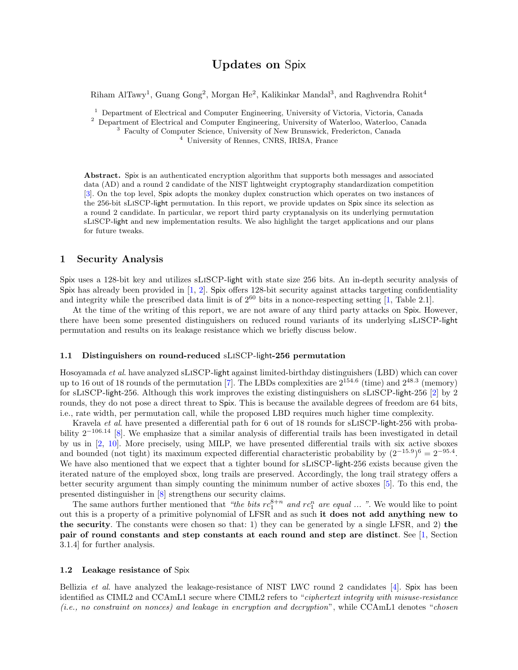# Updates on Spix

Riham AlTawy<sup>1</sup>, Guang Gong<sup>2</sup>, Morgan He<sup>2</sup>, Kalikinkar Mandal<sup>3</sup>, and Raghvendra Rohit<sup>4</sup>

<sup>1</sup> Department of Electrical and Computer Engineering, University of Victoria, Victoria, Canada

<sup>2</sup> Department of Electrical and Computer Engineering, University of Waterloo, Waterloo, Canada

<sup>3</sup> Faculty of Computer Science, University of New Brunswick, Fredericton, Canada

<sup>4</sup> University of Rennes, CNRS, IRISA, France

Abstract. Spix is an authenticated encryption algorithm that supports both messages and associated data (AD) and a round 2 candidate of the NIST lightweight cryptography standardization competition [\[3\]](#page-2-0). On the top level, Spix adopts the monkey duplex construction which operates on two instances of the 256-bit sLiSCP-light permutation. In this report, we provide updates on Spix since its selection as a round 2 candidate. In particular, we report third party cryptanalysis on its underlying permutation sLiSCP-light and new implementation results. We also highlight the target applications and our plans for future tweaks.

#### 1 Security Analysis

Spix uses a 128-bit key and utilizes sLiSCP-light with state size 256 bits. An in-depth security analysis of Spix has already been provided in [\[1,](#page-1-0) [2\]](#page-2-1). Spix offers 128-bit security against attacks targeting confidentiality and integrity while the prescribed data limit is of  $2^{60}$  bits in a nonce-respecting setting [\[1,](#page-1-0) Table 2.1].

At the time of the writing of this report, we are not aware of any third party attacks on Spix. However, there have been some presented distinguishers on reduced round variants of its underlying sLiSCP-light permutation and results on its leakage resistance which we briefly discuss below.

#### 1.1 Distinguishers on round-reduced sLiSCP-light-256 permutation

Hosoyamada et al. have analyzed sLiSCP-light against limited-birthday distinguishers (LBD) which can cover up to 16 out of 18 rounds of the permutation [\[7\]](#page-2-2). The LBDs complexities are  $2^{154.6}$  (time) and  $2^{48.3}$  (memory) for sLiSCP-light-256. Although this work improves the existing distinguishers on sLiSCP-light-256 [\[2\]](#page-2-1) by 2 rounds, they do not pose a direct threat to Spix. This is because the available degrees of freedom are 64 bits, i.e., rate width, per permutation call, while the proposed LBD requires much higher time complexity.

Kravela et al. have presented a differential path for 6 out of 18 rounds for sLiSCP-light-256 with probability  $2^{-106.14}$  $2^{-106.14}$  $2^{-106.14}$  [\[8\]](#page-2-3). We emphasize that a similar analysis of differential trails has been investigated in detail by us in [\[2,](#page-2-1) [10\]](#page-2-4). More precisely, using MILP, we have presented differential trails with six active sboxes and bounded (not tight) its maximum expected differential characteristic probability by  $(2^{-15.9})^6 = 2^{-95.4}$ . We have also mentioned that we expect that a tighter bound for sLiSCP-light-256 exists because given the iterated nature of the employed sbox, long trails are preserved. Accordingly, the long trail strategy offers a better security argument than simply counting the minimum number of active sboxes [\[5\]](#page-2-5). To this end, the presented distinguisher in [\[8\]](#page-2-3) strengthens our security claims.

The same authors further mentioned that "the bits  $rc_1^{8+n}$  and  $rc_1^n$  are equal ... ". We would like to point out this is a property of a primitive polynomial of LFSR and as such it does not add anything new to the security. The constants were chosen so that: 1) they can be generated by a single LFSR, and 2) the pair of round constants and step constants at each round and step are distinct. See [\[1,](#page-1-0) Section 3.1.4] for further analysis.

#### 1.2 Leakage resistance of Spix

Bellizia *et al.* have analyzed the leakage-resistance of NIST LWC round 2 candidates [\[4\]](#page-2-6). Spix has been identified as CIML2 and CCAmL1 secure where CIML2 refers to "ciphertext integrity with misuse-resistance (i.e., no constraint on nonces) and leakage in encryption and decryption", while CCAmL1 denotes "chosen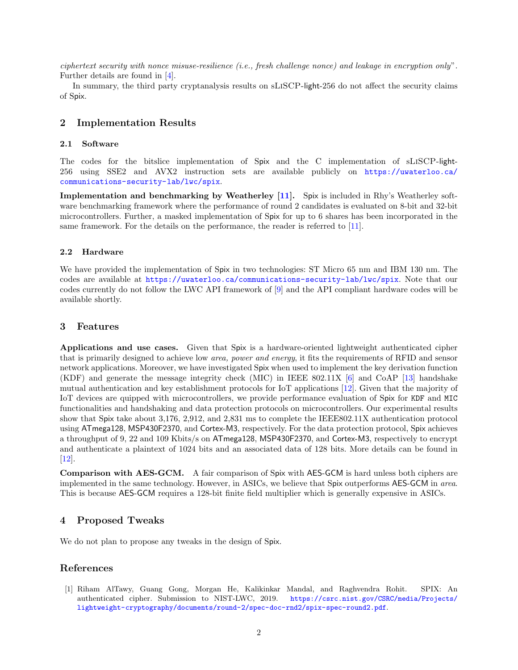ciphertext security with nonce misuse-resilience (i.e., fresh challenge nonce) and leakage in encryption only". Further details are found in [\[4\]](#page-2-6).

In summary, the third party cryptanalysis results on sLiSCP-light-256 do not affect the security claims of Spix.

## 2 Implementation Results

#### 2.1 Software

The codes for the bitslice implementation of Spix and the C implementation of sLiSCP-light-256 using SSE2 and AVX2 instruction sets are available publicly on [https://uwaterloo.ca/](https://uwaterloo.ca/communications-security-lab/lwc/spix) [communications-security-lab/lwc/spix](https://uwaterloo.ca/communications-security-lab/lwc/spix).

Implementation and benchmarking by Weatherley [\[11\]](#page-2-7). Spix is included in Rhy's Weatherley software benchmarking framework where the performance of round 2 candidates is evaluated on 8-bit and 32-bit microcontrollers. Further, a masked implementation of Spix for up to 6 shares has been incorporated in the same framework. For the details on the performance, the reader is referred to [\[11\]](#page-2-7).

#### 2.2 Hardware

We have provided the implementation of Spix in two technologies: ST Micro 65 nm and IBM 130 nm. The codes are available at <https://uwaterloo.ca/communications-security-lab/lwc/spix>. Note that our codes currently do not follow the LWC API framework of [\[9\]](#page-2-8) and the API compliant hardware codes will be available shortly.

### 3 Features

Applications and use cases. Given that Spix is a hardware-oriented lightweight authenticated cipher that is primarily designed to achieve low *area, power and energy*, it fits the requirements of RFID and sensor network applications. Moreover, we have investigated Spix when used to implement the key derivation function (KDF) and generate the message integrity check (MIC) in IEEE 802.11X [\[6\]](#page-2-9) and CoAP [\[13\]](#page-2-10) handshake mutual authentication and key establishment protocols for IoT applications [\[12\]](#page-2-11). Given that the majority of IoT devices are quipped with microcontrollers, we provide performance evaluation of Spix for KDF and MIC functionalities and handshaking and data protection protocols on microcontrollers. Our experimental results show that Spix take about 3,176, 2,912, and 2,831 ms to complete the IEEE802.11X authentication protocol using ATmega128, MSP430F2370, and Cortex-M3, respectively. For the data protection protocol, Spix achieves a throughput of 9, 22 and 109 Kbits/s on ATmega128, MSP430F2370, and Cortex-M3, respectively to encrypt and authenticate a plaintext of 1024 bits and an associated data of 128 bits. More details can be found in  $\vert 12 \vert$ .

Comparison with AES-GCM. A fair comparison of Spix with AES-GCM is hard unless both ciphers are implemented in the same technology. However, in ASICs, we believe that Spix outperforms AES-GCM in area. This is because AES-GCM requires a 128-bit finite field multiplier which is generally expensive in ASICs.

### 4 Proposed Tweaks

We do not plan to propose any tweaks in the design of Spix.

# References

<span id="page-1-0"></span>[1] Riham AlTawy, Guang Gong, Morgan He, Kalikinkar Mandal, and Raghvendra Rohit. SPIX: An authenticated cipher. Submission to NIST-LWC, 2019. [https://csrc.nist.gov/CSRC/media/Projects/](https://csrc.nist.gov/CSRC/media/Projects/lightweight-cryptography/documents/round-2/spec-doc-rnd2/spix-spec-round2.pdf) [lightweight-cryptography/documents/round-2/spec-doc-rnd2/spix-spec-round2.pdf](https://csrc.nist.gov/CSRC/media/Projects/lightweight-cryptography/documents/round-2/spec-doc-rnd2/spix-spec-round2.pdf).